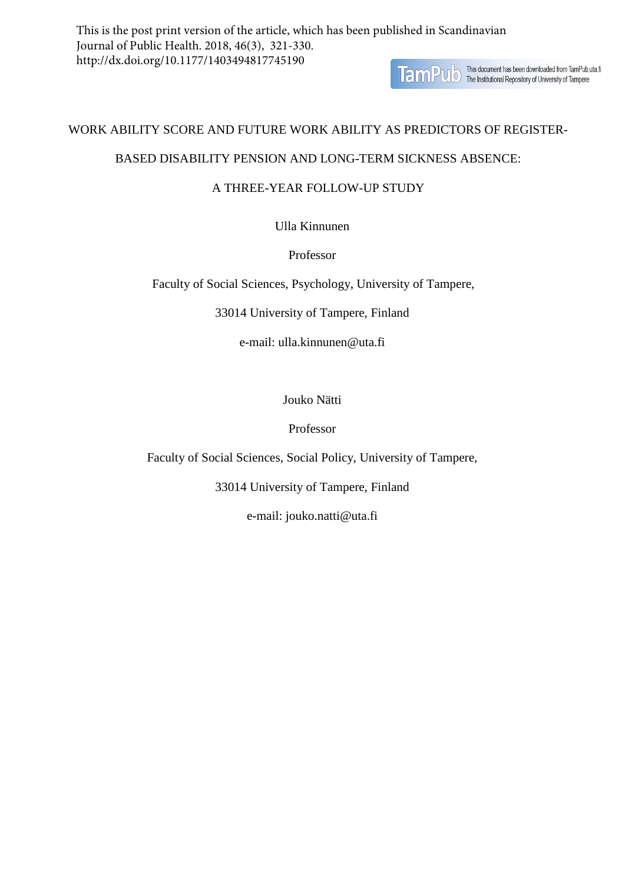**TamPUD** This document has been downloaded from TamPub.uta.fi

# WORK ABILITY SCORE AND FUTURE WORK ABILITY AS PREDICTORS OF REGISTER-

# BASED DISABILITY PENSION AND LONG-TERM SICKNESS ABSENCE:

# A THREE-YEAR FOLLOW-UP STUDY

Ulla Kinnunen

# Professor

Faculty of Social Sciences, Psychology, University of Tampere,

33014 University of Tampere, Finland

e-mail: ulla.kinnunen@uta.fi

Jouko Nätti

Professor

Faculty of Social Sciences, Social Policy, University of Tampere,

33014 University of Tampere, Finland

e-mail: jouko.natti@uta.fi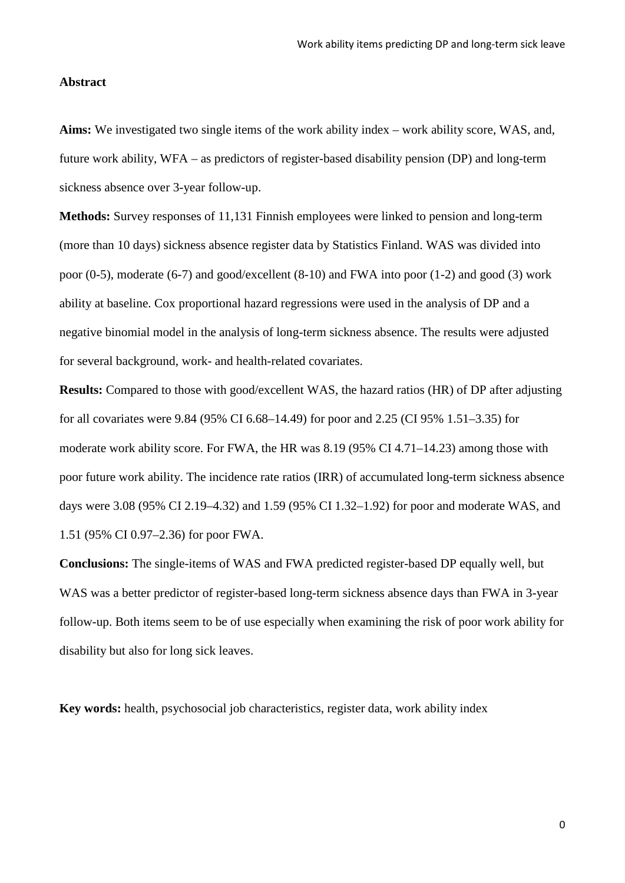## **Abstract**

**Aims:** We investigated two single items of the work ability index – work ability score, WAS, and, future work ability, WFA – as predictors of register-based disability pension (DP) and long-term sickness absence over 3-year follow-up.

**Methods:** Survey responses of 11,131 Finnish employees were linked to pension and long-term (more than 10 days) sickness absence register data by Statistics Finland. WAS was divided into poor (0-5), moderate (6-7) and good/excellent (8-10) and FWA into poor (1-2) and good (3) work ability at baseline. Cox proportional hazard regressions were used in the analysis of DP and a negative binomial model in the analysis of long-term sickness absence. The results were adjusted for several background, work- and health-related covariates.

**Results:** Compared to those with good/excellent WAS, the hazard ratios (HR) of DP after adjusting for all covariates were 9.84 (95% CI 6.68–14.49) for poor and 2.25 (CI 95% 1.51–3.35) for moderate work ability score. For FWA, the HR was 8.19 (95% CI 4.71–14.23) among those with poor future work ability. The incidence rate ratios (IRR) of accumulated long-term sickness absence days were 3.08 (95% CI 2.19–4.32) and 1.59 (95% CI 1.32–1.92) for poor and moderate WAS, and 1.51 (95% CI 0.97–2.36) for poor FWA.

**Conclusions:** The single-items of WAS and FWA predicted register-based DP equally well, but WAS was a better predictor of register-based long-term sickness absence days than FWA in 3-year follow-up. Both items seem to be of use especially when examining the risk of poor work ability for disability but also for long sick leaves.

**Key words:** health, psychosocial job characteristics, register data, work ability index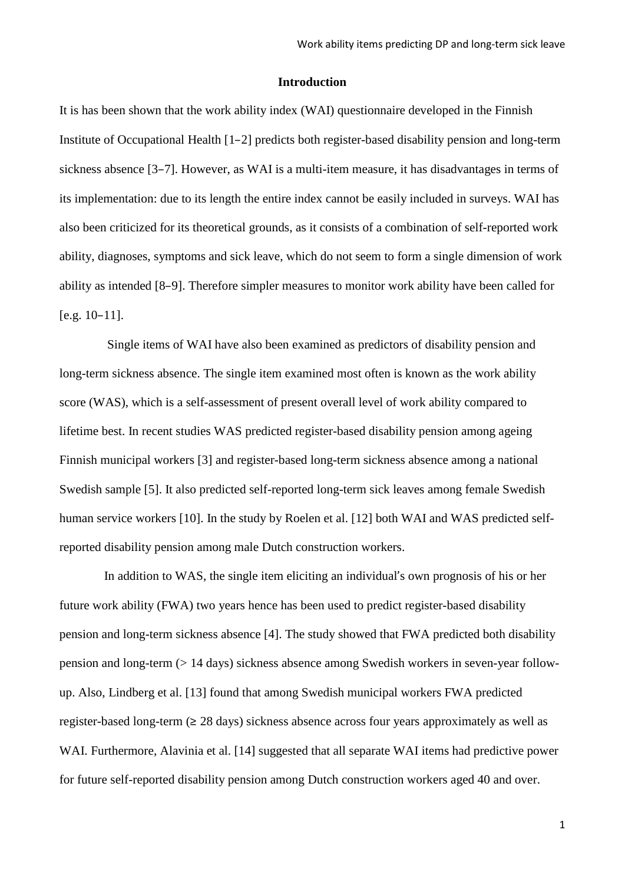#### **Introduction**

It is has been shown that the work ability index (WAI) questionnaire developed in the Finnish Institute of Occupational Health [1–2] predicts both register-based disability pension and long-term sickness absence [3–7]. However, as WAI is a multi-item measure, it has disadvantages in terms of its implementation: due to its length the entire index cannot be easily included in surveys. WAI has also been criticized for its theoretical grounds, as it consists of a combination of self-reported work ability, diagnoses, symptoms and sick leave, which do not seem to form a single dimension of work ability as intended [8–9]. Therefore simpler measures to monitor work ability have been called for [e.g. 10–11].

Single items of WAI have also been examined as predictors of disability pension and long-term sickness absence. The single item examined most often is known as the work ability score (WAS), which is a self-assessment of present overall level of work ability compared to lifetime best. In recent studies WAS predicted register-based disability pension among ageing Finnish municipal workers [3] and register-based long-term sickness absence among a national Swedish sample [5]. It also predicted self-reported long-term sick leaves among female Swedish human service workers [10]. In the study by Roelen et al. [12] both WAI and WAS predicted selfreported disability pension among male Dutch construction workers.

In addition to WAS, the single item eliciting an individual's own prognosis of his or her future work ability (FWA) two years hence has been used to predict register-based disability pension and long-term sickness absence [4]. The study showed that FWA predicted both disability pension and long-term (> 14 days) sickness absence among Swedish workers in seven-year followup. Also, Lindberg et al. [13] found that among Swedish municipal workers FWA predicted register-based long-term (≥ 28 days) sickness absence across four years approximately as well as WAI. Furthermore, Alavinia et al. [14] suggested that all separate WAI items had predictive power for future self-reported disability pension among Dutch construction workers aged 40 and over.

1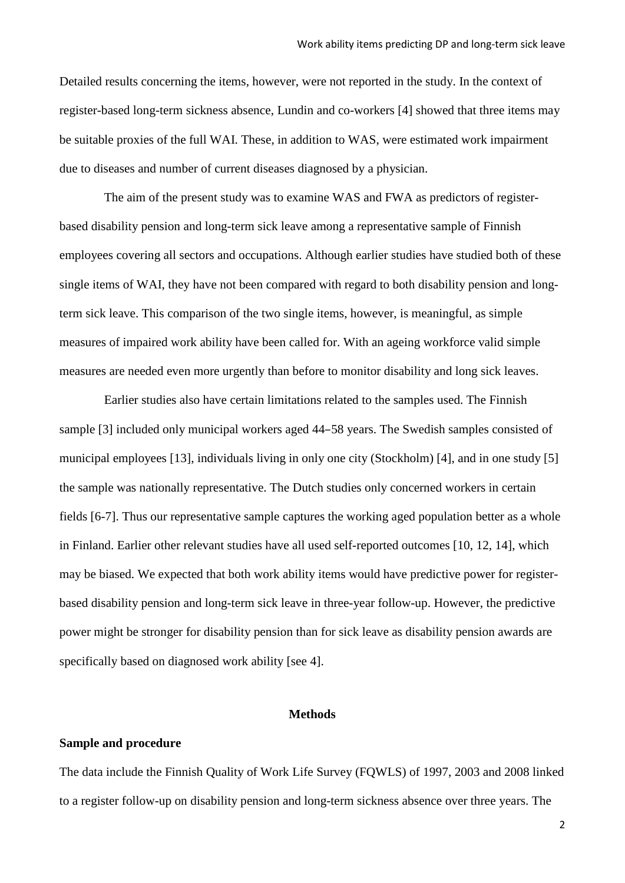Detailed results concerning the items, however, were not reported in the study. In the context of register-based long-term sickness absence, Lundin and co-workers [4] showed that three items may be suitable proxies of the full WAI. These, in addition to WAS, were estimated work impairment due to diseases and number of current diseases diagnosed by a physician.

The aim of the present study was to examine WAS and FWA as predictors of registerbased disability pension and long-term sick leave among a representative sample of Finnish employees covering all sectors and occupations. Although earlier studies have studied both of these single items of WAI, they have not been compared with regard to both disability pension and longterm sick leave. This comparison of the two single items, however, is meaningful, as simple measures of impaired work ability have been called for. With an ageing workforce valid simple measures are needed even more urgently than before to monitor disability and long sick leaves.

Earlier studies also have certain limitations related to the samples used. The Finnish sample [3] included only municipal workers aged 44–58 years. The Swedish samples consisted of municipal employees [13], individuals living in only one city (Stockholm) [4], and in one study [5] the sample was nationally representative. The Dutch studies only concerned workers in certain fields [6-7]. Thus our representative sample captures the working aged population better as a whole in Finland. Earlier other relevant studies have all used self-reported outcomes [10, 12, 14], which may be biased. We expected that both work ability items would have predictive power for registerbased disability pension and long-term sick leave in three-year follow-up. However, the predictive power might be stronger for disability pension than for sick leave as disability pension awards are specifically based on diagnosed work ability [see 4].

#### **Methods**

# **Sample and procedure**

The data include the Finnish Quality of Work Life Survey (FQWLS) of 1997, 2003 and 2008 linked to a register follow-up on disability pension and long-term sickness absence over three years. The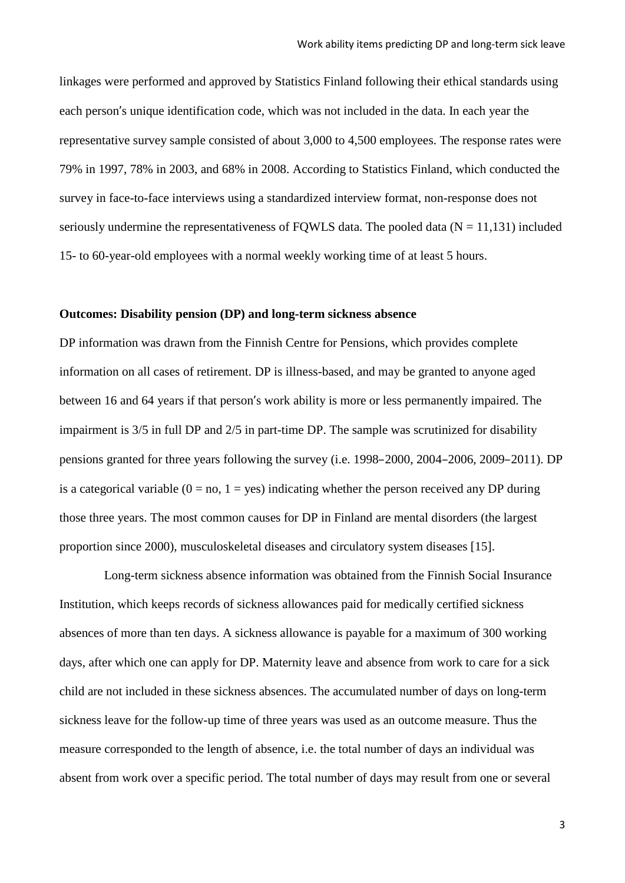linkages were performed and approved by Statistics Finland following their ethical standards using each person's unique identification code, which was not included in the data. In each year the representative survey sample consisted of about 3,000 to 4,500 employees. The response rates were 79% in 1997, 78% in 2003, and 68% in 2008. According to Statistics Finland, which conducted the survey in face-to-face interviews using a standardized interview format, non-response does not seriously undermine the representativeness of FQWLS data. The pooled data ( $N = 11,131$ ) included 15- to 60-year-old employees with a normal weekly working time of at least 5 hours.

### **Outcomes: Disability pension (DP) and long-term sickness absence**

DP information was drawn from the Finnish Centre for Pensions, which provides complete information on all cases of retirement. DP is illness-based, and may be granted to anyone aged between 16 and 64 years if that person's work ability is more or less permanently impaired. The impairment is 3/5 in full DP and 2/5 in part-time DP. The sample was scrutinized for disability pensions granted for three years following the survey (i.e. 1998–2000, 2004–2006, 2009–2011). DP is a categorical variable  $(0 = no, 1 = yes)$  indicating whether the person received any DP during those three years. The most common causes for DP in Finland are mental disorders (the largest proportion since 2000), musculoskeletal diseases and circulatory system diseases [15].

Long-term sickness absence information was obtained from the Finnish Social Insurance Institution, which keeps records of sickness allowances paid for medically certified sickness absences of more than ten days. A sickness allowance is payable for a maximum of 300 working days, after which one can apply for DP. Maternity leave and absence from work to care for a sick child are not included in these sickness absences. The accumulated number of days on long-term sickness leave for the follow-up time of three years was used as an outcome measure. Thus the measure corresponded to the length of absence, i.e. the total number of days an individual was absent from work over a specific period. The total number of days may result from one or several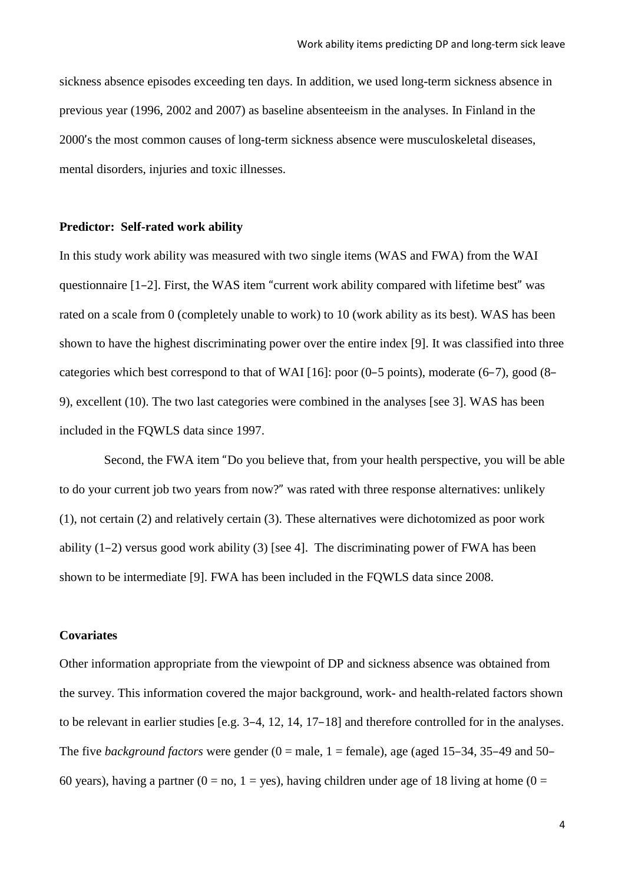sickness absence episodes exceeding ten days. In addition, we used long-term sickness absence in previous year (1996, 2002 and 2007) as baseline absenteeism in the analyses. In Finland in the 2000's the most common causes of long-term sickness absence were musculoskeletal diseases, mental disorders, injuries and toxic illnesses.

### **Predictor: Self-rated work ability**

In this study work ability was measured with two single items (WAS and FWA) from the WAI questionnaire [1–2]. First, the WAS item "current work ability compared with lifetime best" was rated on a scale from 0 (completely unable to work) to 10 (work ability as its best). WAS has been shown to have the highest discriminating power over the entire index [9]. It was classified into three categories which best correspond to that of WAI [16]: poor (0–5 points), moderate (6–7), good (8– 9), excellent (10). The two last categories were combined in the analyses [see 3]. WAS has been included in the FQWLS data since 1997.

Second, the FWA item "Do you believe that, from your health perspective, you will be able to do your current job two years from now?" was rated with three response alternatives: unlikely (1), not certain (2) and relatively certain (3). These alternatives were dichotomized as poor work ability  $(1-2)$  versus good work ability  $(3)$  [see 4]. The discriminating power of FWA has been shown to be intermediate [9]. FWA has been included in the FQWLS data since 2008.

### **Covariates**

Other information appropriate from the viewpoint of DP and sickness absence was obtained from the survey. This information covered the major background, work- and health-related factors shown to be relevant in earlier studies [e.g. 3–4, 12, 14, 17–18] and therefore controlled for in the analyses. The five *background factors* were gender  $(0 = \text{male}, 1 = \text{female})$ , age (aged 15–34, 35–49 and 50– 60 years), having a partner (0 = no, 1 = yes), having children under age of 18 living at home (0 =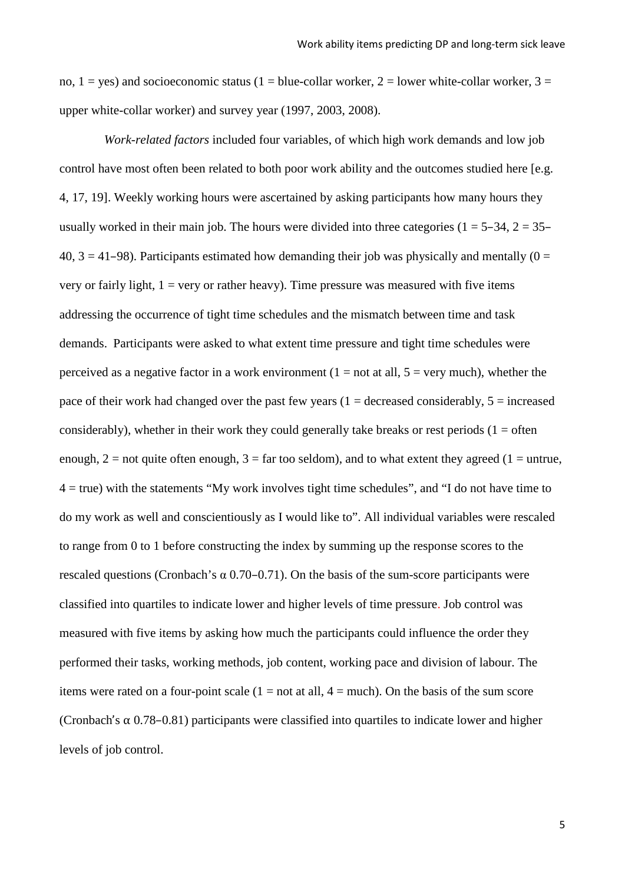no,  $1 = yes$ ) and socioeconomic status ( $1 = blue$ -collar worker,  $2 = lower$  white-collar worker,  $3 =$ upper white-collar worker) and survey year (1997, 2003, 2008).

*Work-related factors* included four variables, of which high work demands and low job control have most often been related to both poor work ability and the outcomes studied here [e.g. 4, 17, 19]. Weekly working hours were ascertained by asking participants how many hours they usually worked in their main job. The hours were divided into three categories ( $1 = 5-34$ ,  $2 = 35-$ 40,  $3 = 41-98$ ). Participants estimated how demanding their job was physically and mentally (0 = very or fairly light,  $1 = \text{very or rather heavy}$ . Time pressure was measured with five items addressing the occurrence of tight time schedules and the mismatch between time and task demands. Participants were asked to what extent time pressure and tight time schedules were perceived as a negative factor in a work environment ( $1 = not$  at all,  $5 = very$  much), whether the pace of their work had changed over the past few years  $(1 =$  decreased considerably,  $5 =$  increased considerably), whether in their work they could generally take breaks or rest periods  $(1 = \text{often}$ enough,  $2 =$  not quite often enough,  $3 =$  far too seldom), and to what extent they agreed (1 = untrue,  $4 =$  true) with the statements "My work involves tight time schedules", and "I do not have time to do my work as well and conscientiously as I would like to". All individual variables were rescaled to range from 0 to 1 before constructing the index by summing up the response scores to the rescaled questions (Cronbach's  $\alpha$  0.70–0.71). On the basis of the sum-score participants were classified into quartiles to indicate lower and higher levels of time pressure. Job control was measured with five items by asking how much the participants could influence the order they performed their tasks, working methods, job content, working pace and division of labour. The items were rated on a four-point scale  $(1 = not at all, 4 = much)$ . On the basis of the sum score (Cronbach's  $\alpha$  0.78–0.81) participants were classified into quartiles to indicate lower and higher levels of job control.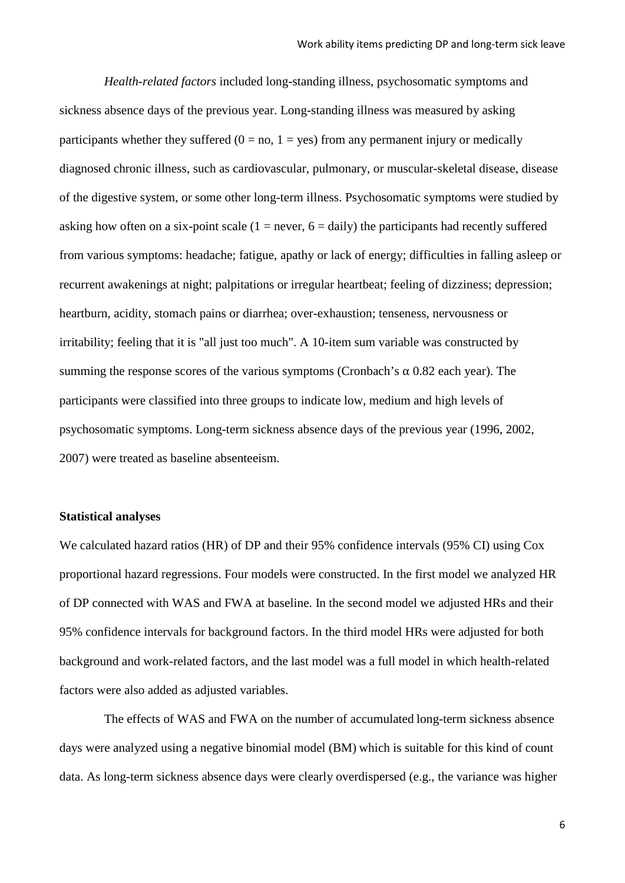*Health-related factors* included long-standing illness, psychosomatic symptoms and sickness absence days of the previous year. Long-standing illness was measured by asking participants whether they suffered  $(0 = no, 1 = ves)$  from any permanent injury or medically diagnosed chronic illness, such as cardiovascular, pulmonary, or muscular-skeletal disease, disease of the digestive system, or some other long-term illness. Psychosomatic symptoms were studied by asking how often on a six-point scale  $(1 = never, 6 = daily)$  the participants had recently suffered from various symptoms: headache; fatigue, apathy or lack of energy; difficulties in falling asleep or recurrent awakenings at night; palpitations or irregular heartbeat; feeling of dizziness; depression; heartburn, acidity, stomach pains or diarrhea; over-exhaustion; tenseness, nervousness or irritability; feeling that it is "all just too much". A 10-item sum variable was constructed by summing the response scores of the various symptoms (Cronbach's  $\alpha$  0.82 each year). The participants were classified into three groups to indicate low, medium and high levels of psychosomatic symptoms. Long-term sickness absence days of the previous year (1996, 2002, 2007) were treated as baseline absenteeism.

## **Statistical analyses**

We calculated hazard ratios (HR) of DP and their 95% confidence intervals (95% CI) using Cox proportional hazard regressions. Four models were constructed. In the first model we analyzed HR of DP connected with WAS and FWA at baseline. In the second model we adjusted HRs and their 95% confidence intervals for background factors. In the third model HRs were adjusted for both background and work-related factors, and the last model was a full model in which health-related factors were also added as adjusted variables.

The effects of WAS and FWA on the number of accumulated long-term sickness absence days were analyzed using a negative binomial model (BM) which is suitable for this kind of count data. As long-term sickness absence days were clearly overdispersed (e.g., the variance was higher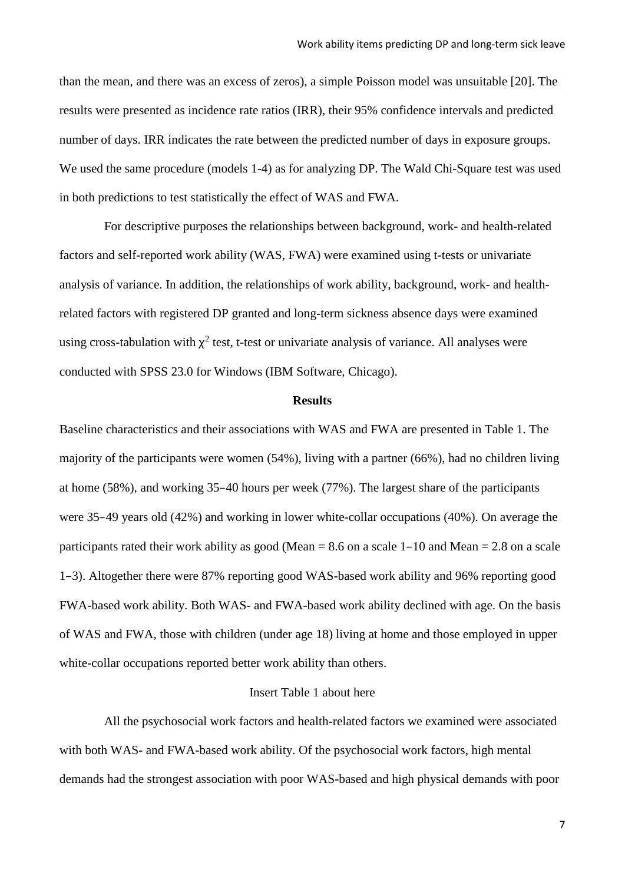than the mean, and there was an excess of zeros), a simple Poisson model was unsuitable [20]. The results were presented as incidence rate ratios (IRR), their 95% confidence intervals and predicted number of days. IRR indicates the rate between the predicted number of days in exposure groups. We used the same procedure (models 1-4) as for analyzing DP. The Wald Chi-Square test was used in both predictions to test statistically the effect of WAS and FWA.

For descriptive purposes the relationships between background, work- and health-related factors and self-reported work ability (WAS, FWA) were examined using t-tests or univariate analysis of variance. In addition, the relationships of work ability, background, work- and healthrelated factors with registered DP granted and long-term sickness absence days were examined using cross-tabulation with  $\chi^2$  test, t-test or univariate analysis of variance. All analyses were conducted with SPSS 23.0 for Windows (IBM Software, Chicago).

### **Results**

Baseline characteristics and their associations with WAS and FWA are presented in Table 1. The majority of the participants were women (54%), living with a partner (66%), had no children living at home (58%), and working 35–40 hours per week (77%). The largest share of the participants were 35–49 years old (42%) and working in lower white-collar occupations (40%). On average the participants rated their work ability as good (Mean  $= 8.6$  on a scale 1–10 and Mean  $= 2.8$  on a scale 1–3). Altogether there were 87% reporting good WAS-based work ability and 96% reporting good FWA-based work ability. Both WAS- and FWA-based work ability declined with age. On the basis of WAS and FWA, those with children (under age 18) living at home and those employed in upper white-collar occupations reported better work ability than others.

# Insert Table 1 about here

All the psychosocial work factors and health-related factors we examined were associated with both WAS- and FWA-based work ability. Of the psychosocial work factors, high mental demands had the strongest association with poor WAS-based and high physical demands with poor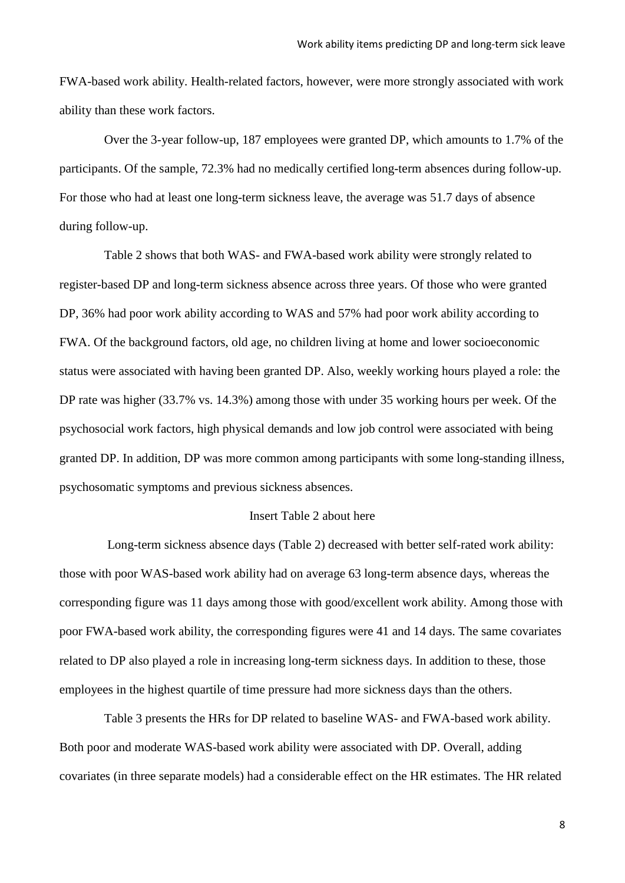FWA-based work ability. Health-related factors, however, were more strongly associated with work ability than these work factors.

Over the 3-year follow-up, 187 employees were granted DP, which amounts to 1.7% of the participants. Of the sample, 72.3% had no medically certified long-term absences during follow-up. For those who had at least one long-term sickness leave, the average was 51.7 days of absence during follow-up.

Table 2 shows that both WAS- and FWA-based work ability were strongly related to register-based DP and long-term sickness absence across three years. Of those who were granted DP, 36% had poor work ability according to WAS and 57% had poor work ability according to FWA. Of the background factors, old age, no children living at home and lower socioeconomic status were associated with having been granted DP. Also, weekly working hours played a role: the DP rate was higher (33.7% vs. 14.3%) among those with under 35 working hours per week. Of the psychosocial work factors, high physical demands and low job control were associated with being granted DP. In addition, DP was more common among participants with some long-standing illness, psychosomatic symptoms and previous sickness absences.

### Insert Table 2 about here

Long-term sickness absence days (Table 2) decreased with better self-rated work ability: those with poor WAS-based work ability had on average 63 long-term absence days, whereas the corresponding figure was 11 days among those with good/excellent work ability. Among those with poor FWA-based work ability, the corresponding figures were 41 and 14 days. The same covariates related to DP also played a role in increasing long-term sickness days. In addition to these, those employees in the highest quartile of time pressure had more sickness days than the others.

Table 3 presents the HRs for DP related to baseline WAS- and FWA-based work ability. Both poor and moderate WAS-based work ability were associated with DP. Overall, adding covariates (in three separate models) had a considerable effect on the HR estimates. The HR related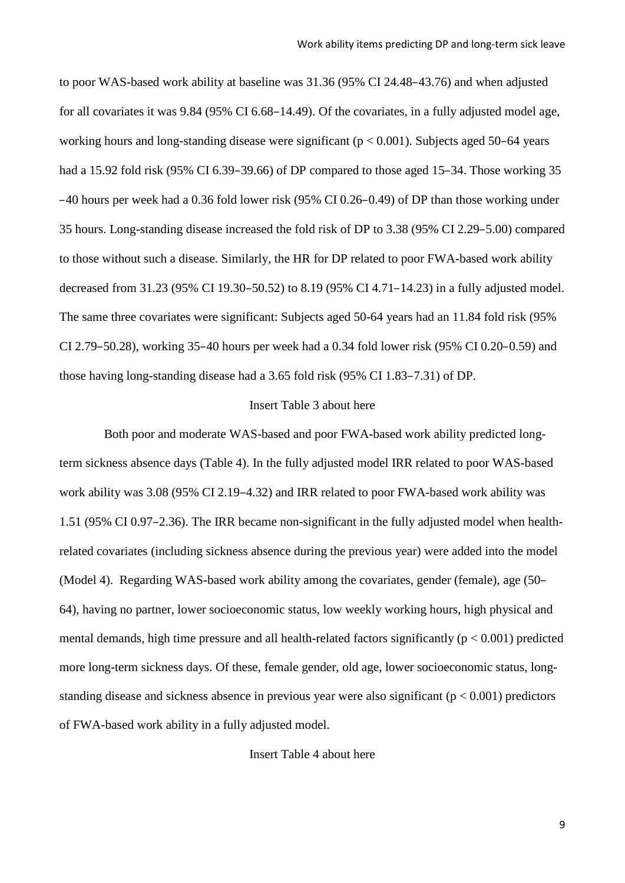to poor WAS-based work ability at baseline was 31.36 (95% CI 24.48–43.76) and when adjusted for all covariates it was 9.84 (95% CI 6.68–14.49). Of the covariates, in a fully adjusted model age, working hours and long-standing disease were significant ( $p < 0.001$ ). Subjects aged 50–64 years had a 15.92 fold risk (95% CI 6.39–39.66) of DP compared to those aged 15–34. Those working 35 –40 hours per week had a 0.36 fold lower risk (95% CI 0.26–0.49) of DP than those working under 35 hours. Long-standing disease increased the fold risk of DP to 3.38 (95% CI 2.29–5.00) compared to those without such a disease. Similarly, the HR for DP related to poor FWA-based work ability decreased from 31.23 (95% CI 19.30–50.52) to 8.19 (95% CI 4.71–14.23) in a fully adjusted model. The same three covariates were significant: Subjects aged 50-64 years had an 11.84 fold risk (95% CI 2.79–50.28), working 35–40 hours per week had a 0.34 fold lower risk (95% CI 0.20–0.59) and those having long-standing disease had a 3.65 fold risk (95% CI 1.83–7.31) of DP.

### Insert Table 3 about here

Both poor and moderate WAS-based and poor FWA-based work ability predicted longterm sickness absence days (Table 4). In the fully adjusted model IRR related to poor WAS-based work ability was 3.08 (95% CI 2.19–4.32) and IRR related to poor FWA-based work ability was 1.51 (95% CI 0.97–2.36). The IRR became non-significant in the fully adjusted model when healthrelated covariates (including sickness absence during the previous year) were added into the model (Model 4). Regarding WAS-based work ability among the covariates, gender (female), age (50– 64), having no partner, lower socioeconomic status, low weekly working hours, high physical and mental demands, high time pressure and all health-related factors significantly ( $p < 0.001$ ) predicted more long-term sickness days. Of these, female gender, old age, lower socioeconomic status, longstanding disease and sickness absence in previous year were also significant ( $p < 0.001$ ) predictors of FWA-based work ability in a fully adjusted model.

Insert Table 4 about here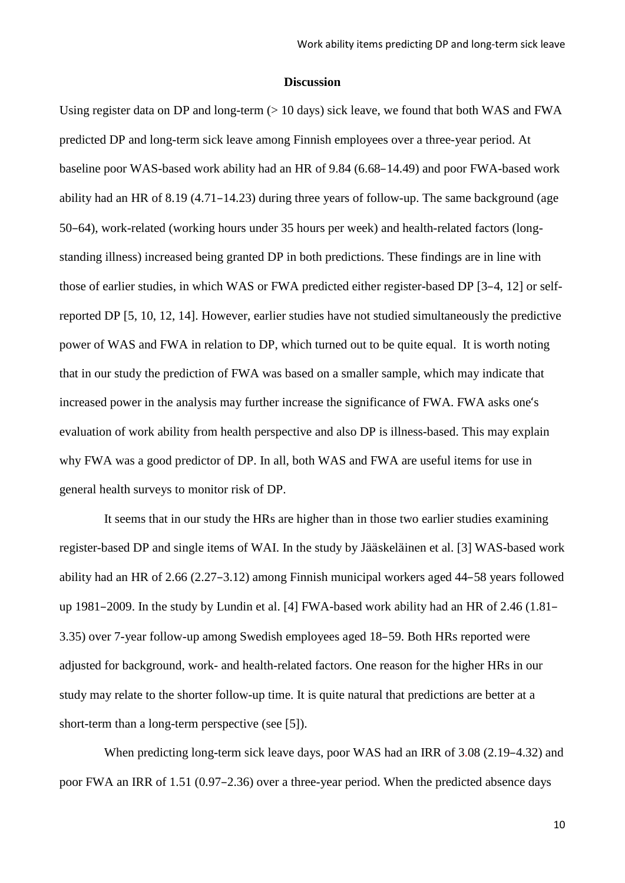#### **Discussion**

Using register data on DP and long-term (> 10 days) sick leave, we found that both WAS and FWA predicted DP and long-term sick leave among Finnish employees over a three-year period. At baseline poor WAS-based work ability had an HR of 9.84 (6.68–14.49) and poor FWA-based work ability had an HR of 8.19 (4.71–14.23) during three years of follow-up. The same background (age 50–64), work-related (working hours under 35 hours per week) and health-related factors (longstanding illness) increased being granted DP in both predictions. These findings are in line with those of earlier studies, in which WAS or FWA predicted either register-based DP [3–4, 12] or selfreported DP [5, 10, 12, 14]. However, earlier studies have not studied simultaneously the predictive power of WAS and FWA in relation to DP, which turned out to be quite equal. It is worth noting that in our study the prediction of FWA was based on a smaller sample, which may indicate that increased power in the analysis may further increase the significance of FWA. FWA asks one's evaluation of work ability from health perspective and also DP is illness-based. This may explain why FWA was a good predictor of DP. In all, both WAS and FWA are useful items for use in general health surveys to monitor risk of DP.

It seems that in our study the HRs are higher than in those two earlier studies examining register-based DP and single items of WAI. In the study by Jääskeläinen et al. [3] WAS-based work ability had an HR of 2.66 (2.27–3.12) among Finnish municipal workers aged 44–58 years followed up 1981–2009. In the study by Lundin et al. [4] FWA-based work ability had an HR of 2.46 (1.81– 3.35) over 7-year follow-up among Swedish employees aged 18–59. Both HRs reported were adjusted for background, work- and health-related factors. One reason for the higher HRs in our study may relate to the shorter follow-up time. It is quite natural that predictions are better at a short-term than a long-term perspective (see [5]).

When predicting long-term sick leave days, poor WAS had an IRR of 3.08 (2.19–4.32) and poor FWA an IRR of 1.51 (0.97–2.36) over a three-year period. When the predicted absence days

10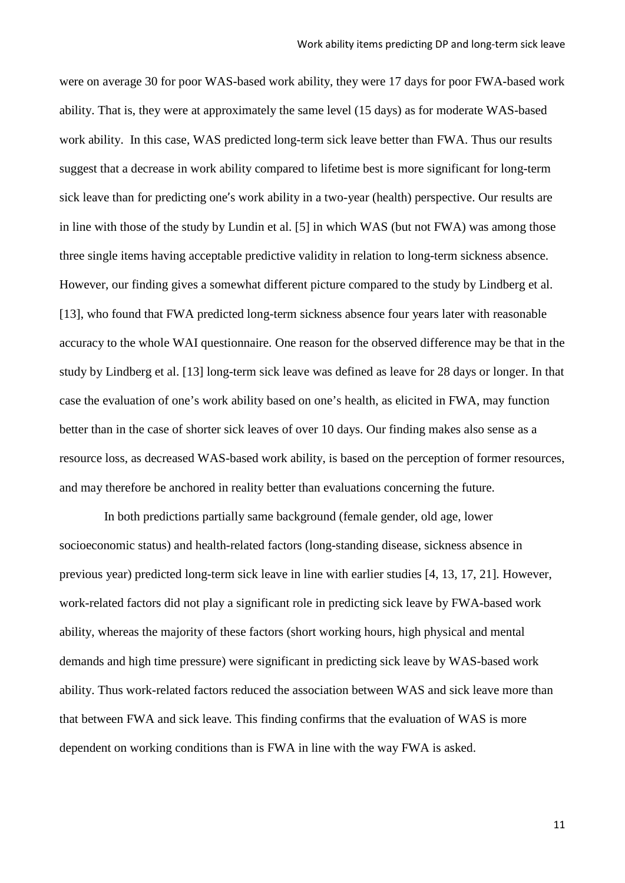were on average 30 for poor WAS-based work ability, they were 17 days for poor FWA-based work ability. That is, they were at approximately the same level (15 days) as for moderate WAS-based work ability. In this case, WAS predicted long-term sick leave better than FWA. Thus our results suggest that a decrease in work ability compared to lifetime best is more significant for long-term sick leave than for predicting one's work ability in a two-year (health) perspective. Our results are in line with those of the study by Lundin et al. [5] in which WAS (but not FWA) was among those three single items having acceptable predictive validity in relation to long-term sickness absence. However, our finding gives a somewhat different picture compared to the study by Lindberg et al. [13], who found that FWA predicted long-term sickness absence four years later with reasonable accuracy to the whole WAI questionnaire. One reason for the observed difference may be that in the study by Lindberg et al. [13] long-term sick leave was defined as leave for 28 days or longer. In that case the evaluation of one's work ability based on one's health, as elicited in FWA, may function better than in the case of shorter sick leaves of over 10 days. Our finding makes also sense as a resource loss, as decreased WAS-based work ability, is based on the perception of former resources, and may therefore be anchored in reality better than evaluations concerning the future.

In both predictions partially same background (female gender, old age, lower socioeconomic status) and health-related factors (long-standing disease, sickness absence in previous year) predicted long-term sick leave in line with earlier studies [4, 13, 17, 21]*.* However, work-related factors did not play a significant role in predicting sick leave by FWA-based work ability, whereas the majority of these factors (short working hours, high physical and mental demands and high time pressure) were significant in predicting sick leave by WAS-based work ability. Thus work-related factors reduced the association between WAS and sick leave more than that between FWA and sick leave. This finding confirms that the evaluation of WAS is more dependent on working conditions than is FWA in line with the way FWA is asked.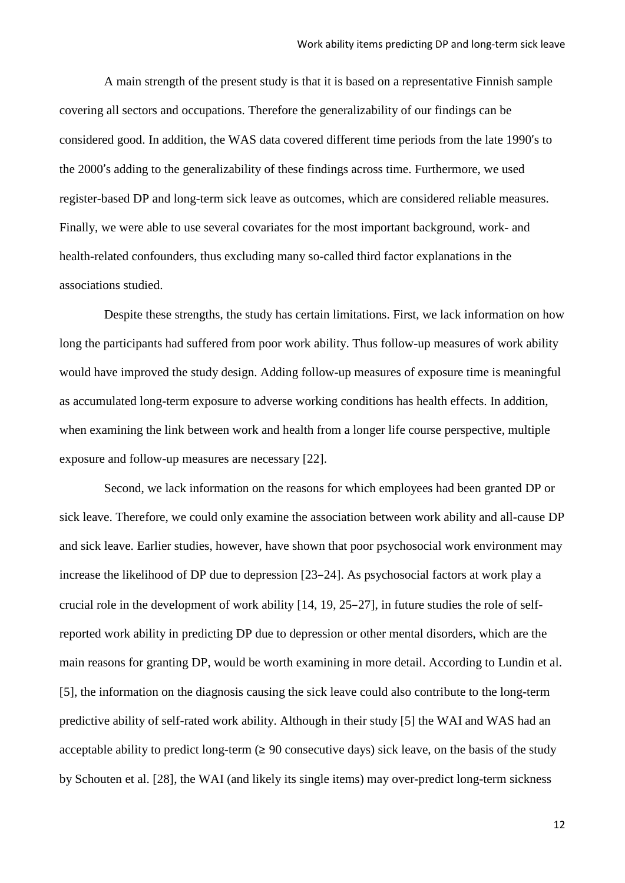A main strength of the present study is that it is based on a representative Finnish sample covering all sectors and occupations. Therefore the generalizability of our findings can be considered good. In addition, the WAS data covered different time periods from the late 1990's to the 2000's adding to the generalizability of these findings across time. Furthermore, we used register-based DP and long-term sick leave as outcomes, which are considered reliable measures. Finally, we were able to use several covariates for the most important background, work- and health-related confounders, thus excluding many so-called third factor explanations in the associations studied.

Despite these strengths, the study has certain limitations. First, we lack information on how long the participants had suffered from poor work ability. Thus follow-up measures of work ability would have improved the study design. Adding follow-up measures of exposure time is meaningful as accumulated long-term exposure to adverse working conditions has health effects. In addition, when examining the link between work and health from a longer life course perspective, multiple exposure and follow-up measures are necessary [22].

Second, we lack information on the reasons for which employees had been granted DP or sick leave. Therefore, we could only examine the association between work ability and all-cause DP and sick leave. Earlier studies, however, have shown that poor psychosocial work environment may increase the likelihood of DP due to depression [23–24]. As psychosocial factors at work play a crucial role in the development of work ability [14, 19, 25–27], in future studies the role of selfreported work ability in predicting DP due to depression or other mental disorders, which are the main reasons for granting DP, would be worth examining in more detail. According to Lundin et al. [5], the information on the diagnosis causing the sick leave could also contribute to the long-term predictive ability of self-rated work ability. Although in their study [5] the WAI and WAS had an acceptable ability to predict long-term  $(≥ 90$  consecutive days) sick leave, on the basis of the study by Schouten et al. [28], the WAI (and likely its single items) may over-predict long-term sickness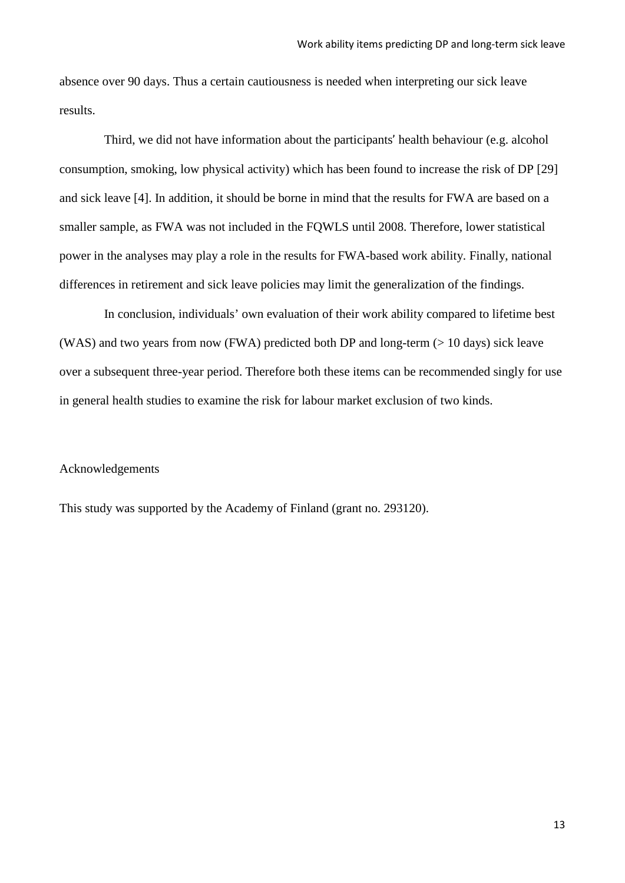absence over 90 days. Thus a certain cautiousness is needed when interpreting our sick leave results.

Third, we did not have information about the participants' health behaviour (e.g. alcohol consumption, smoking, low physical activity) which has been found to increase the risk of DP [29] and sick leave [4]. In addition, it should be borne in mind that the results for FWA are based on a smaller sample, as FWA was not included in the FQWLS until 2008. Therefore, lower statistical power in the analyses may play a role in the results for FWA-based work ability. Finally, national differences in retirement and sick leave policies may limit the generalization of the findings.

In conclusion, individuals' own evaluation of their work ability compared to lifetime best (WAS) and two years from now (FWA) predicted both DP and long-term  $(> 10 \text{ days})$  sick leave over a subsequent three-year period. Therefore both these items can be recommended singly for use in general health studies to examine the risk for labour market exclusion of two kinds.

# Acknowledgements

This study was supported by the Academy of Finland (grant no. 293120).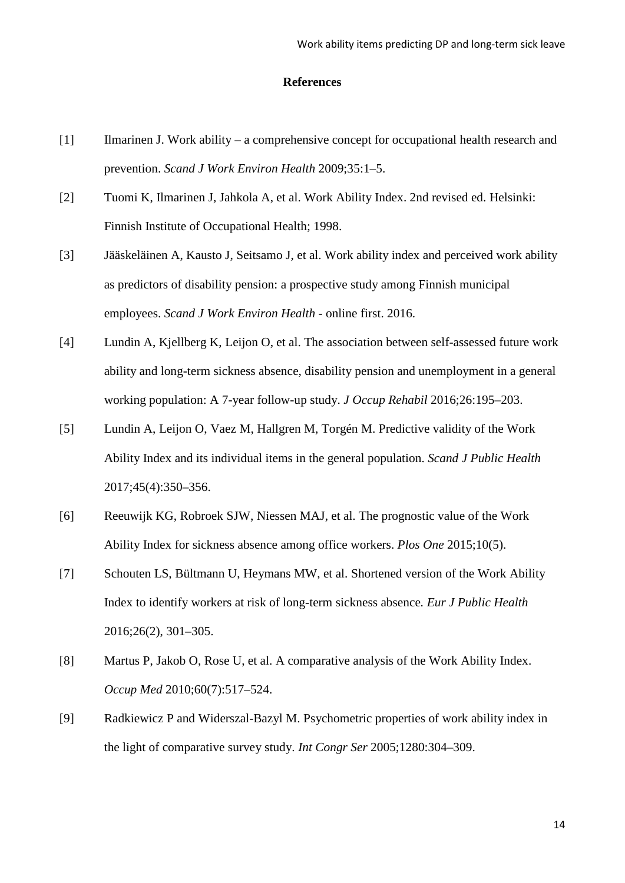## **References**

- [1] Ilmarinen J. Work ability a comprehensive concept for occupational health research and prevention. *Scand J Work Environ Health* 2009;35:1–5.
- [2] Tuomi K, Ilmarinen J, Jahkola A, et al. Work Ability Index. 2nd revised ed. Helsinki: Finnish Institute of Occupational Health; 1998.
- [3] Jääskeläinen A, Kausto J, Seitsamo J, et al. Work ability index and perceived work ability as predictors of disability pension: a prospective study among Finnish municipal employees. *Scand J Work Environ Health* - online first. 2016.
- [4] Lundin A, Kjellberg K, Leijon O, et al. The association between self-assessed future work ability and long-term sickness absence, disability pension and unemployment in a general working population: A 7-year follow-up study. *J Occup Rehabil* 2016;26:195–203.
- [5] Lundin A, Leijon O, Vaez M, Hallgren M, Torgén M. Predictive validity of the Work Ability Index and its individual items in the general population. *Scand J Public Health* 2017;45(4):350–356.
- [6] Reeuwijk KG, Robroek SJW, Niessen MAJ, et al. The prognostic value of the Work Ability Index for sickness absence among office workers. *Plos One* 2015;10(5).
- [7] Schouten LS, Bültmann U, Heymans MW, et al. Shortened version of the Work Ability Index to identify workers at risk of long-term sickness absence*. Eur J Public Health* 2016;26(2), 301–305.
- [8] Martus P, Jakob O, Rose U, et al. A comparative analysis of the Work Ability Index. *Occup Med* 2010;60(7):517–524.
- [9] Radkiewicz P and Widerszal-Bazyl M. Psychometric properties of work ability index in the light of comparative survey study. *Int Congr Ser* 2005;1280:304–309.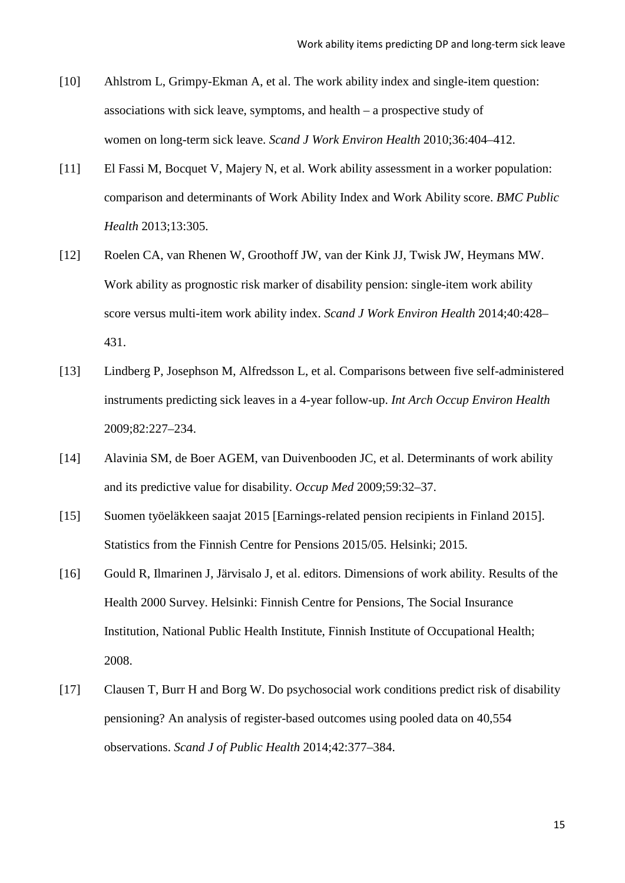- [10] Ahlstrom L, Grimpy-Ekman A, et al. The work ability index and single-item question: associations with sick leave, symptoms, and health – a prospective study of women on long-term sick leave. *Scand J Work Environ Health* 2010;36:404–412.
- [11] El Fassi M, Bocquet V, Majery N, et al. Work ability assessment in a worker population: comparison and determinants of Work Ability Index and Work Ability score. *BMC Public Health* 2013;13:305.
- [12] Roelen CA, van Rhenen W, Groothoff JW, van der Kink JJ, Twisk JW, Heymans MW. Work ability as prognostic risk marker of disability pension: single-item work ability score versus multi-item work ability index. *Scand J Work Environ Health* 2014;40:428– 431.
- [13] Lindberg P, Josephson M, Alfredsson L, et al. Comparisons between five self-administered instruments predicting sick leaves in a 4-year follow-up. *Int Arch Occup Environ Health* 2009;82:227–234.
- [14] Alavinia SM, de Boer AGEM, van Duivenbooden JC, et al. Determinants of work ability and its predictive value for disability. *Occup Med* 2009;59:32–37.
- [15] Suomen työeläkkeen saajat 2015 [Earnings-related pension recipients in Finland 2015]. Statistics from the Finnish Centre for Pensions 2015/05. Helsinki; 2015.
- [16] Gould R, Ilmarinen J, Järvisalo J, et al. editors. Dimensions of work ability. Results of the Health 2000 Survey. Helsinki: Finnish Centre for Pensions, The Social Insurance Institution, National Public Health Institute, Finnish Institute of Occupational Health; 2008.
- [17] Clausen T, Burr H and Borg W. Do psychosocial work conditions predict risk of disability pensioning? An analysis of register-based outcomes using pooled data on 40,554 observations. *Scand J of Public Health* 2014;42:377–384.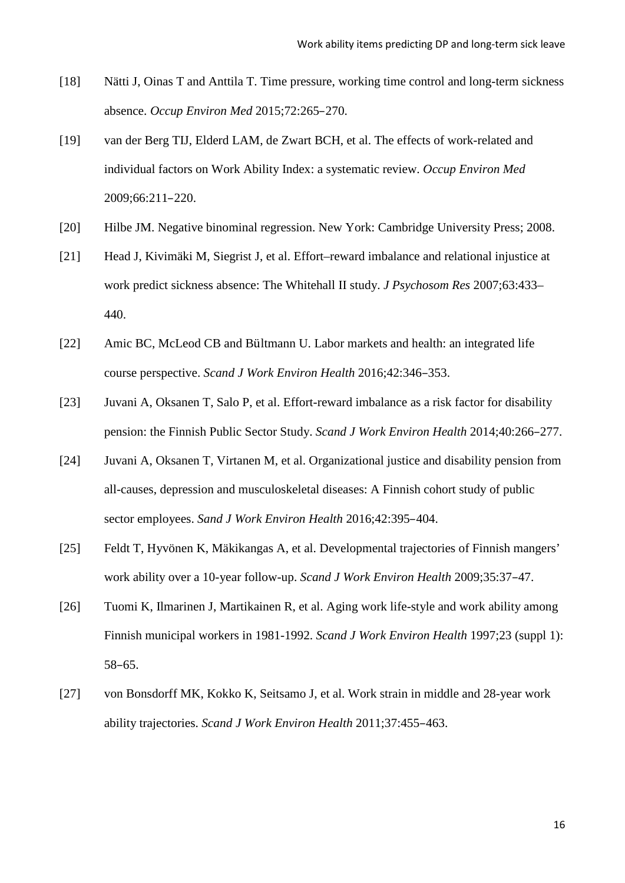- [18] Nätti J, Oinas T and Anttila T. Time pressure, working time control and long-term sickness absence. *Occup Environ Med* 2015;72:265–270.
- [19] van der Berg TIJ, Elderd LAM, de Zwart BCH, et al. The effects of work-related and individual factors on Work Ability Index: a systematic review. *Occup Environ Med* 2009;66:211–220.
- [20] Hilbe JM. Negative binominal regression. New York: Cambridge University Press; 2008.
- [21] Head J, Kivimäki M, Siegrist J, et al. Effort–reward imbalance and relational injustice at work predict sickness absence: The Whitehall II study. *J Psychosom Res* 2007;63:433– 440.
- [22] Amic BC, McLeod CB and Bültmann U. Labor markets and health: an integrated life course perspective. *Scand J Work Environ Health* 2016;42:346–353.
- [23] Juvani A, Oksanen T, Salo P, et al. Effort-reward imbalance as a risk factor for disability pension: the Finnish Public Sector Study. *Scand J Work Environ Health* 2014;40:266–277.
- [24] Juvani A, Oksanen T, Virtanen M, et al. Organizational justice and disability pension from all-causes, depression and musculoskeletal diseases: A Finnish cohort study of public sector employees. *Sand J Work Environ Health* 2016;42:395–404.
- [25] Feldt T, Hyvönen K, Mäkikangas A, et al. Developmental trajectories of Finnish mangers' work ability over a 10-year follow-up. *Scand J Work Environ Health* 2009;35:37–47.
- [26] Tuomi K, Ilmarinen J, Martikainen R, et al. Aging work life-style and work ability among Finnish municipal workers in 1981-1992. *Scand J Work Environ Health* 1997;23 (suppl 1): 58–65.
- [27] von Bonsdorff MK, Kokko K, Seitsamo J, et al. Work strain in middle and 28-year work ability trajectories. *Scand J Work Environ Health* 2011;37:455–463.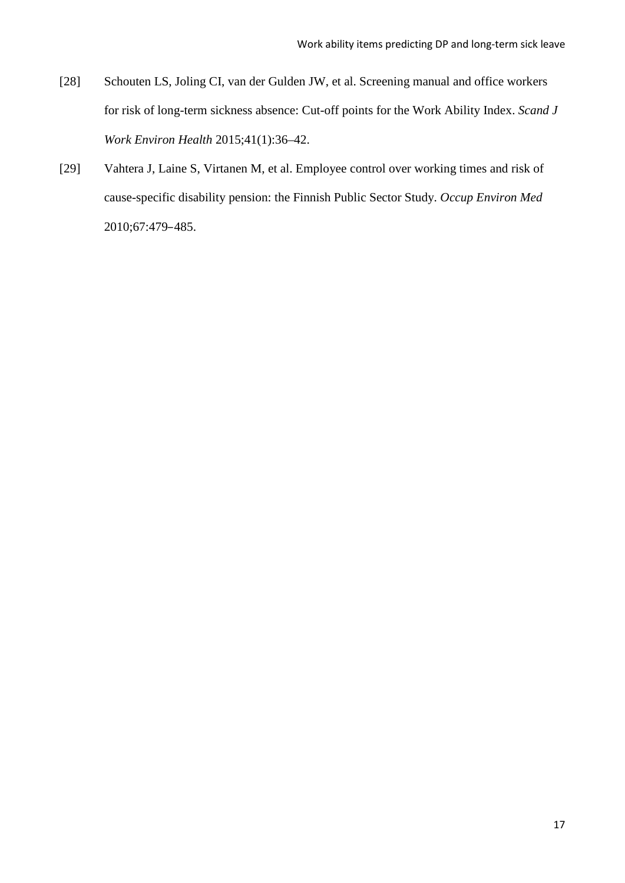- [28] Schouten LS, Joling CI, van der Gulden JW, et al. Screening manual and office workers for risk of long-term sickness absence: Cut-off points for the Work Ability Index. *Scand J Work Environ Health* 2015;41(1):36–42.
- [29] Vahtera J, Laine S, Virtanen M, et al. Employee control over working times and risk of cause-specific disability pension: the Finnish Public Sector Study. *Occup Environ Med* 2010;67:479–485.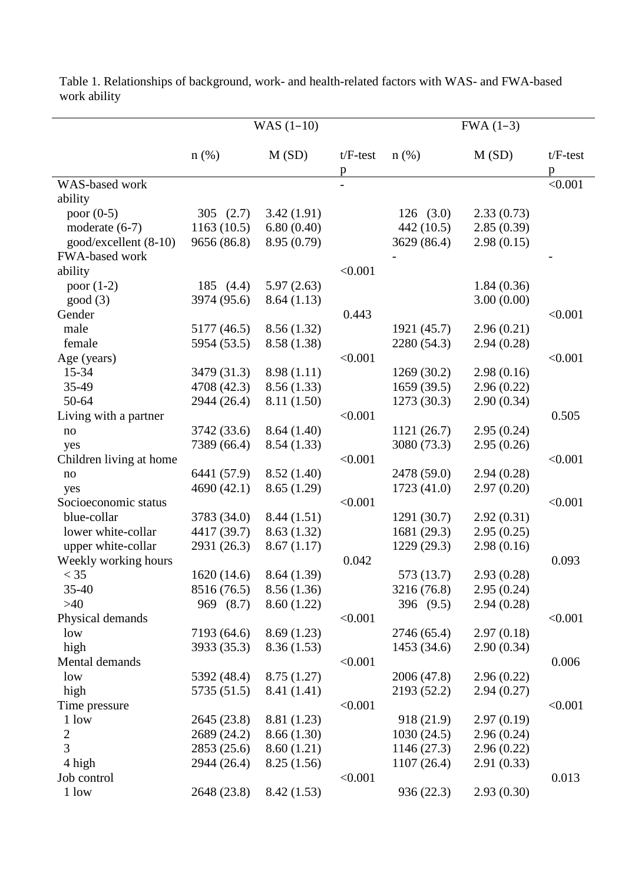|                         |             | $WAS (1-10)$ |                          | $FWA (1-3)$ |            |                 |  |
|-------------------------|-------------|--------------|--------------------------|-------------|------------|-----------------|--|
|                         | $n$ (%)     | M(SD)        | $t/F-test$<br>p          | $n$ (%)     | M(SD)      | $t/F-test$<br>p |  |
| WAS-based work          |             |              | $\overline{\phantom{a}}$ |             |            | < 0.001         |  |
| ability                 |             |              |                          |             |            |                 |  |
| poor $(0-5)$            | 305 $(2.7)$ | 3.42(1.91)   |                          | 126(3.0)    | 2.33(0.73) |                 |  |
| moderate $(6-7)$        | 1163(10.5)  | 6.80(0.40)   |                          | 442 (10.5)  | 2.85(0.39) |                 |  |
| good/excellent (8-10)   | 9656 (86.8) | 8.95 (0.79)  |                          | 3629 (86.4) | 2.98(0.15) |                 |  |
| FWA-based work          |             |              |                          |             |            |                 |  |
| ability                 |             |              | < 0.001                  |             |            |                 |  |
| poor $(1-2)$            | 185 $(4.4)$ | 5.97(2.63)   |                          |             | 1.84(0.36) |                 |  |
| good(3)                 | 3974 (95.6) | 8.64(1.13)   |                          |             | 3.00(0.00) |                 |  |
| Gender                  |             |              | 0.443                    |             |            | < 0.001         |  |
| male                    | 5177 (46.5) | 8.56(1.32)   |                          | 1921 (45.7) | 2.96(0.21) |                 |  |
| female                  | 5954 (53.5) | 8.58 (1.38)  |                          | 2280 (54.3) | 2.94(0.28) |                 |  |
| Age (years)             |             |              | < 0.001                  |             |            | < 0.001         |  |
| 15-34                   | 3479 (31.3) | 8.98(1.11)   |                          | 1269(30.2)  | 2.98(0.16) |                 |  |
| 35-49                   | 4708 (42.3) | 8.56(1.33)   |                          | 1659(39.5)  | 2.96(0.22) |                 |  |
| $50 - 64$               | 2944 (26.4) | 8.11 (1.50)  |                          | 1273(30.3)  | 2.90(0.34) |                 |  |
| Living with a partner   |             |              | < 0.001                  |             |            | 0.505           |  |
| $\rm no$                | 3742 (33.6) | 8.64(1.40)   |                          | 1121(26.7)  | 2.95(0.24) |                 |  |
| yes                     | 7389 (66.4) | 8.54(1.33)   |                          | 3080 (73.3) | 2.95(0.26) |                 |  |
| Children living at home |             |              | < 0.001                  |             |            | < 0.001         |  |
| no                      | 6441 (57.9) | 8.52(1.40)   |                          | 2478 (59.0) | 2.94(0.28) |                 |  |
| yes                     | 4690(42.1)  | 8.65(1.29)   |                          | 1723(41.0)  | 2.97(0.20) |                 |  |
| Socioeconomic status    |             |              | < 0.001                  |             |            | < 0.001         |  |
| blue-collar             | 3783 (34.0) | 8.44(1.51)   |                          | 1291 (30.7) | 2.92(0.31) |                 |  |
| lower white-collar      | 4417 (39.7) | 8.63(1.32)   |                          | 1681 (29.3) | 2.95(0.25) |                 |  |
| upper white-collar      | 2931 (26.3) | 8.67(1.17)   |                          | 1229 (29.3) | 2.98(0.16) |                 |  |
| Weekly working hours    |             |              | 0.042                    |             |            | 0.093           |  |
| $<$ 35                  | 1620 (14.6) | 8.64 (1.39)  |                          | 573 (13.7)  | 2.93(0.28) |                 |  |
| $35 - 40$               | 8516 (76.5) | 8.56(1.36)   |                          | 3216 (76.8) | 2.95(0.24) |                 |  |
| $>40$                   | 969 (8.7)   | 8.60(1.22)   |                          | 396 (9.5)   | 2.94(0.28) |                 |  |
| Physical demands        |             |              | < 0.001                  |             |            | < 0.001         |  |
| low                     | 7193 (64.6) | 8.69(1.23)   |                          | 2746 (65.4) | 2.97(0.18) |                 |  |
| high                    | 3933 (35.3) | 8.36(1.53)   |                          | 1453 (34.6) | 2.90(0.34) |                 |  |
| Mental demands          |             |              | < 0.001                  |             |            | 0.006           |  |
| low                     | 5392 (48.4) | 8.75(1.27)   |                          | 2006 (47.8) | 2.96(0.22) |                 |  |
| high                    | 5735 (51.5) | 8.41 (1.41)  |                          | 2193 (52.2) | 2.94(0.27) |                 |  |
| Time pressure           |             |              | < 0.001                  |             |            | < 0.001         |  |
| 1 low                   | 2645 (23.8) | 8.81 (1.23)  |                          | 918 (21.9)  | 2.97(0.19) |                 |  |
| $\overline{c}$          | 2689 (24.2) | 8.66(1.30)   |                          | 1030(24.5)  | 2.96(0.24) |                 |  |
| $\overline{3}$          | 2853 (25.6) | 8.60(1.21)   |                          | 1146(27.3)  | 2.96(0.22) |                 |  |
| 4 high                  | 2944 (26.4) | 8.25(1.56)   |                          | 1107(26.4)  | 2.91(0.33) |                 |  |
| Job control             |             |              | < 0.001                  |             |            | 0.013           |  |
| 1 low                   | 2648 (23.8) | 8.42(1.53)   |                          | 936 (22.3)  | 2.93(0.30) |                 |  |

Table 1. Relationships of background, work- and health-related factors with WAS- and FWA-based work ability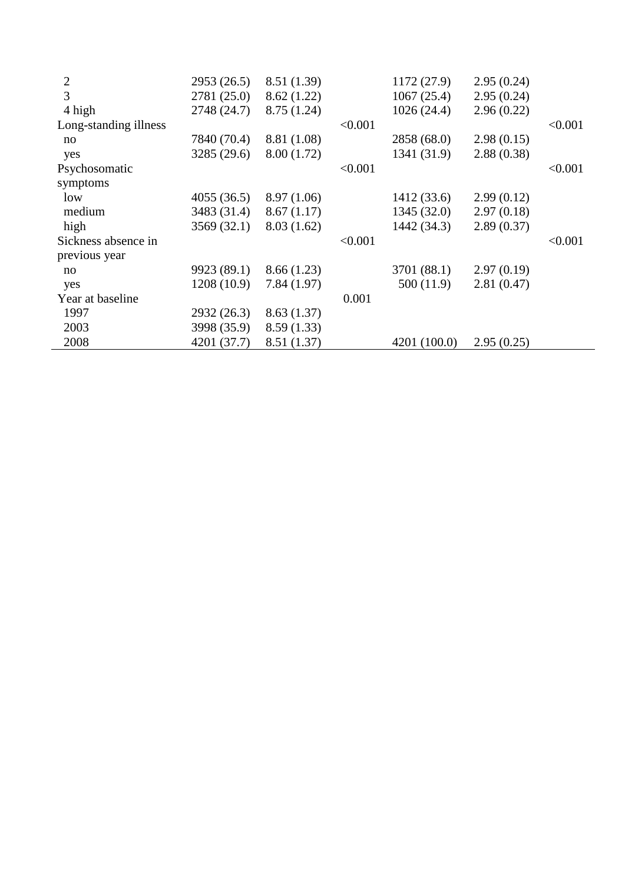| $\overline{2}$        | 2953 (26.5) | 8.51 (1.39) |         | 1172(27.9)   | 2.95(0.24) |         |
|-----------------------|-------------|-------------|---------|--------------|------------|---------|
| 3                     | 2781 (25.0) | 8.62(1.22)  |         | 1067(25.4)   | 2.95(0.24) |         |
| 4 high                | 2748 (24.7) | 8.75(1.24)  |         | 1026(24.4)   | 2.96(0.22) |         |
| Long-standing illness |             |             | < 0.001 |              |            | < 0.001 |
| no                    | 7840 (70.4) | 8.81 (1.08) |         | 2858 (68.0)  | 2.98(0.15) |         |
| yes                   | 3285 (29.6) | 8.00(1.72)  |         | 1341 (31.9)  | 2.88(0.38) |         |
| Psychosomatic         |             |             | < 0.001 |              |            | < 0.001 |
| symptoms              |             |             |         |              |            |         |
| low                   | 4055(36.5)  | 8.97(1.06)  |         | 1412(33.6)   | 2.99(0.12) |         |
| medium                | 3483 (31.4) | 8.67(1.17)  |         | 1345(32.0)   | 2.97(0.18) |         |
| high                  | 3569(32.1)  | 8.03(1.62)  |         | 1442(34.3)   | 2.89(0.37) |         |
| Sickness absence in   |             |             | < 0.001 |              |            | < 0.001 |
| previous year         |             |             |         |              |            |         |
| no                    | 9923 (89.1) | 8.66(1.23)  |         | 3701 (88.1)  | 2.97(0.19) |         |
| yes                   | 1208 (10.9) | 7.84(1.97)  |         | 500(11.9)    | 2.81(0.47) |         |
| Year at baseline      |             |             | 0.001   |              |            |         |
| 1997                  | 2932(26.3)  | 8.63(1.37)  |         |              |            |         |
| 2003                  | 3998 (35.9) | 8.59(1.33)  |         |              |            |         |
| 2008                  | 4201 (37.7) | 8.51 (1.37) |         | 4201 (100.0) | 2.95(0.25) |         |
|                       |             |             |         |              |            |         |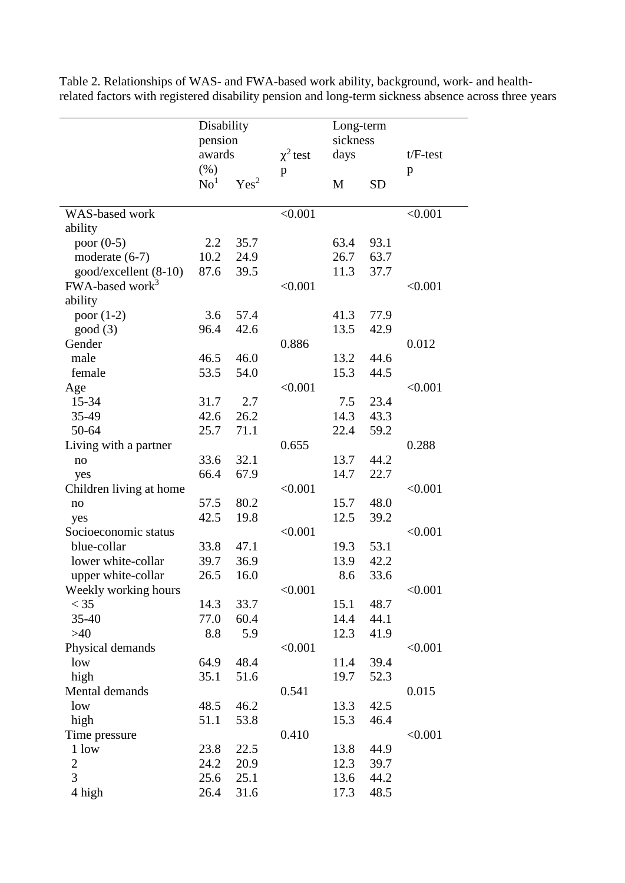|                             | Disability      |                  |               | Long-term |           |            |
|-----------------------------|-----------------|------------------|---------------|-----------|-----------|------------|
|                             | pension         |                  |               | sickness  |           |            |
|                             | awards          |                  | $\chi^2$ test | days      |           | $t/F-test$ |
|                             | (% )            |                  | p             |           |           | p          |
|                             | $\mathrm{No}^1$ | Yes <sup>2</sup> |               | M         | <b>SD</b> |            |
|                             |                 |                  |               |           |           |            |
| WAS-based work              |                 |                  | < 0.001       |           |           | < 0.001    |
| ability                     |                 |                  |               |           |           |            |
| poor $(0-5)$                | 2.2             | 35.7             |               | 63.4      | 93.1      |            |
| moderate $(6-7)$            | 10.2            | 24.9             |               | 26.7      | 63.7      |            |
| good/excellent (8-10)       | 87.6            | 39.5             |               | 11.3      | 37.7      |            |
| FWA-based work <sup>3</sup> |                 |                  | < 0.001       |           |           | < 0.001    |
| ability                     |                 |                  |               |           |           |            |
| poor $(1-2)$                | 3.6             | 57.4             |               | 41.3      | 77.9      |            |
| good(3)                     | 96.4            | 42.6             |               | 13.5      | 42.9      |            |
| Gender                      |                 |                  | 0.886         |           |           | 0.012      |
| male                        | 46.5            | 46.0             |               | 13.2      | 44.6      |            |
| female                      | 53.5            | 54.0             |               | 15.3      | 44.5      |            |
| Age                         |                 |                  | < 0.001       |           |           | < 0.001    |
| 15-34                       | 31.7            | 2.7              |               | 7.5       | 23.4      |            |
| 35-49                       | 42.6            | 26.2             |               | 14.3      | 43.3      |            |
| 50-64                       | 25.7            | 71.1             |               | 22.4      | 59.2      |            |
| Living with a partner       |                 |                  | 0.655         |           |           | 0.288      |
| no                          | 33.6            | 32.1             |               | 13.7      | 44.2      |            |
| yes                         | 66.4            | 67.9             |               | 14.7      | 22.7      |            |
| Children living at home     |                 |                  | < 0.001       |           |           | < 0.001    |
| no                          | 57.5            | 80.2             |               | 15.7      | 48.0      |            |
| yes                         | 42.5            | 19.8             |               | 12.5      | 39.2      |            |
| Socioeconomic status        |                 |                  | < 0.001       |           |           | < 0.001    |
| blue-collar                 | 33.8            | 47.1             |               | 19.3      | 53.1      |            |
| lower white-collar          | 39.7            | 36.9             |               | 13.9      | 42.2      |            |
| upper white-collar          | 26.5            | 16.0             |               | 8.6       | 33.6      |            |
| Weekly working hours        |                 |                  | < 0.001       |           |           | < 0.001    |
| $<$ 35                      | 14.3            | 33.7             |               | 15.1      | 48.7      |            |
| $35 - 40$                   | 77.0            | 60.4             |               | 14.4      | 44.1      |            |
| $>40$                       | 8.8             | 5.9              |               | 12.3      | 41.9      |            |
| Physical demands            |                 |                  | < 0.001       |           |           | < 0.001    |
| low                         | 64.9            | 48.4             |               | 11.4      | 39.4      |            |
| high                        | 35.1            | 51.6             |               | 19.7      | 52.3      |            |
| Mental demands              |                 |                  | 0.541         |           |           | 0.015      |
| low                         | 48.5            | 46.2             |               | 13.3      | 42.5      |            |
| high                        | 51.1            | 53.8             |               | 15.3      | 46.4      |            |
| Time pressure               |                 |                  | 0.410         |           |           | < 0.001    |
| 1 low                       | 23.8            | 22.5             |               | 13.8      | 44.9      |            |
| $\sqrt{2}$                  | 24.2            | 20.9             |               | 12.3      | 39.7      |            |
| $\overline{3}$              | 25.6            | 25.1             |               | 13.6      | 44.2      |            |
| 4 high                      | 26.4            | 31.6             |               | 17.3      | 48.5      |            |

Table 2. Relationships of WAS- and FWA-based work ability, background, work- and healthrelated factors with registered disability pension and long-term sickness absence across three years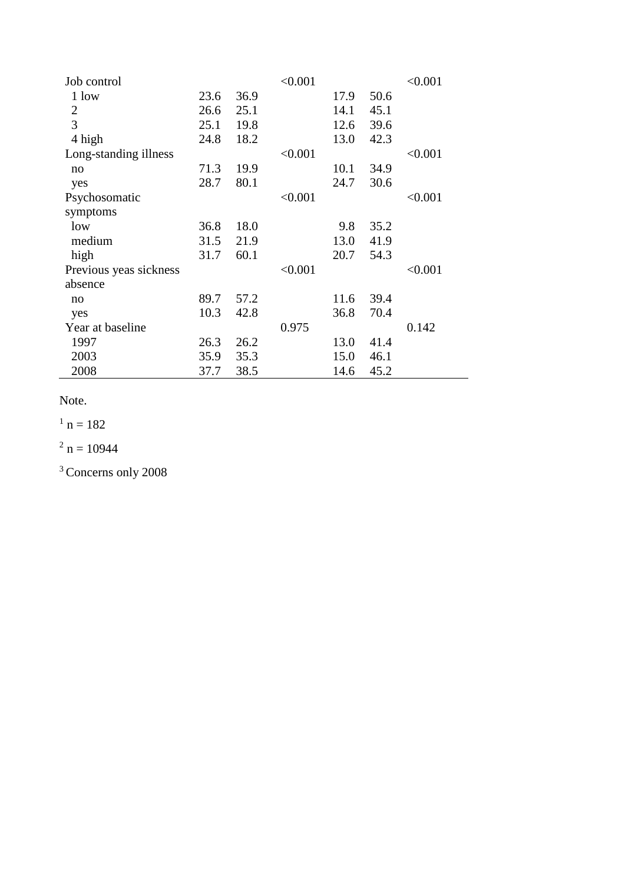| Job control            |      |      | < 0.001 |      |      | < 0.001 |
|------------------------|------|------|---------|------|------|---------|
| 1 low                  | 23.6 | 36.9 |         | 17.9 | 50.6 |         |
| $\overline{2}$         | 26.6 | 25.1 |         | 14.1 | 45.1 |         |
| 3                      | 25.1 | 19.8 |         | 12.6 | 39.6 |         |
| 4 high                 | 24.8 | 18.2 |         | 13.0 | 42.3 |         |
| Long-standing illness  |      |      | < 0.001 |      |      | < 0.001 |
| no                     | 71.3 | 19.9 |         | 10.1 | 34.9 |         |
| yes                    | 28.7 | 80.1 |         | 24.7 | 30.6 |         |
| Psychosomatic          |      |      | < 0.001 |      |      | < 0.001 |
| symptoms               |      |      |         |      |      |         |
| low                    | 36.8 | 18.0 |         | 9.8  | 35.2 |         |
| medium                 | 31.5 | 21.9 |         | 13.0 | 41.9 |         |
| high                   | 31.7 | 60.1 |         | 20.7 | 54.3 |         |
| Previous yeas sickness |      |      | < 0.001 |      |      | < 0.001 |
| absence                |      |      |         |      |      |         |
| no                     | 89.7 | 57.2 |         | 11.6 | 39.4 |         |
| yes                    | 10.3 | 42.8 |         | 36.8 | 70.4 |         |
| Year at baseline       |      |      | 0.975   |      |      | 0.142   |
| 1997                   | 26.3 | 26.2 |         | 13.0 | 41.4 |         |
| 2003                   | 35.9 | 35.3 |         | 15.0 | 46.1 |         |
| 2008                   | 37.7 | 38.5 |         | 14.6 | 45.2 |         |

Note.

 $1 n = 182$ 

 $2 n = 10944$ 

<sup>3</sup> Concerns only 2008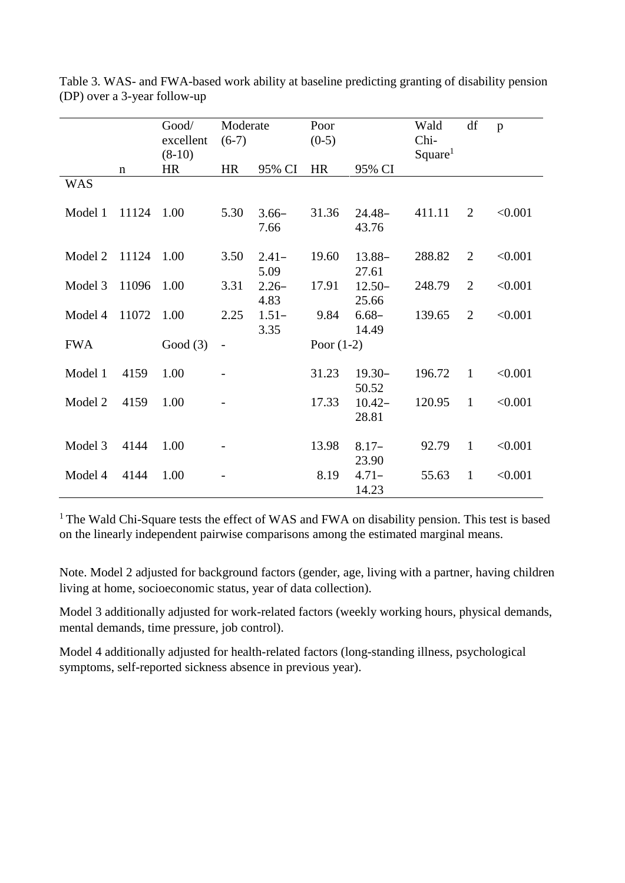|            |             | Good/      | Moderate  |                 | Poor         |                  | Wald                | df             | $\mathbf{p}$ |
|------------|-------------|------------|-----------|-----------------|--------------|------------------|---------------------|----------------|--------------|
|            |             | excellent  | $(6-7)$   |                 | $(0-5)$      |                  | Chi-                |                |              |
|            |             | $(8-10)$   |           |                 |              |                  | Square <sup>1</sup> |                |              |
|            | $\mathbf n$ | <b>HR</b>  | <b>HR</b> | 95% CI          | <b>HR</b>    | 95% CI           |                     |                |              |
| <b>WAS</b> |             |            |           |                 |              |                  |                     |                |              |
|            |             |            |           |                 |              |                  |                     |                |              |
| Model 1    | 11124       | 1.00       | 5.30      | $3.66-$         | 31.36        | $24.48-$         | 411.11              | 2              | < 0.001      |
|            |             |            |           | 7.66            |              | 43.76            |                     |                |              |
| Model 2    | 11124       | 1.00       |           |                 | 19.60        |                  |                     | 2              |              |
|            |             |            | 3.50      | $2.41-$         |              | $13.88 -$        | 288.82              |                | < 0.001      |
|            |             |            |           | 5.09            |              | 27.61            |                     | $\overline{2}$ |              |
| Model 3    | 11096       | 1.00       | 3.31      | $2.26-$         | 17.91        | $12.50-$         | 248.79              |                | < 0.001      |
| Model 4    | 11072       | 1.00       | 2.25      | 4.83<br>$1.51-$ | 9.84         | 25.66<br>$6.68-$ | 139.65              | 2              | < 0.001      |
|            |             |            |           | 3.35            |              | 14.49            |                     |                |              |
| <b>FWA</b> |             | Good $(3)$ |           |                 | Poor $(1-2)$ |                  |                     |                |              |
|            |             |            |           |                 |              |                  |                     |                |              |
| Model 1    | 4159        | 1.00       |           |                 | 31.23        | $19.30 -$        | 196.72              | $\mathbf{1}$   | < 0.001      |
|            |             |            |           |                 |              | 50.52            |                     |                |              |
| Model 2    | 4159        | 1.00       |           |                 | 17.33        | $10.42 -$        | 120.95              | $\mathbf{1}$   | < 0.001      |
|            |             |            |           |                 |              | 28.81            |                     |                |              |
|            |             |            |           |                 |              |                  |                     |                |              |
| Model 3    | 4144        | 1.00       |           |                 | 13.98        | $8.17-$          | 92.79               | $\mathbf{1}$   | < 0.001      |
|            |             |            |           |                 |              | 23.90            |                     |                |              |
| Model 4    | 4144        | 1.00       |           |                 | 8.19         | $4.71-$          | 55.63               | $\mathbf{1}$   | < 0.001      |
|            |             |            |           |                 |              | 14.23            |                     |                |              |

Table 3. WAS- and FWA-based work ability at baseline predicting granting of disability pension (DP) over a 3-year follow-up

<sup>1</sup> The Wald Chi-Square tests the effect of WAS and FWA on disability pension. This test is based on the linearly independent pairwise comparisons among the estimated marginal means.

Note. Model 2 adjusted for background factors (gender, age, living with a partner, having children living at home, socioeconomic status, year of data collection).

Model 3 additionally adjusted for work-related factors (weekly working hours, physical demands, mental demands, time pressure, job control).

Model 4 additionally adjusted for health-related factors (long-standing illness, psychological symptoms, self-reported sickness absence in previous year).